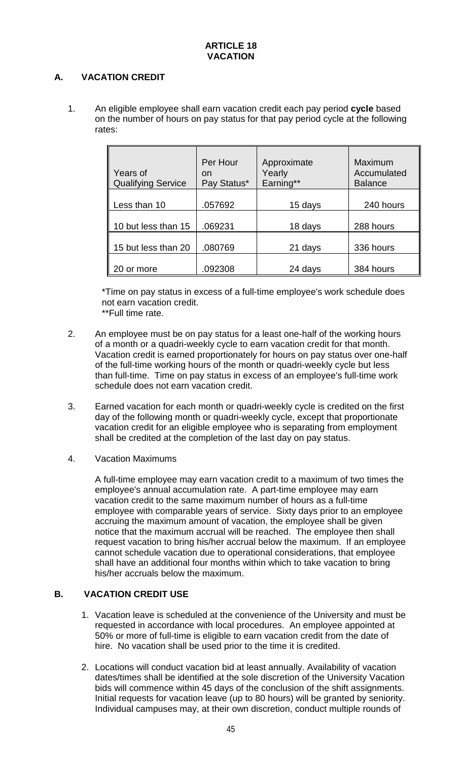#### **ARTICLE 18 VACATION**

# **A. VACATION CREDIT**

1. An eligible employee shall earn vacation credit each pay period **cycle** based on the number of hours on pay status for that pay period cycle at the following rates:

| Years of<br><b>Qualifying Service</b> | Per Hour<br>on<br>Pay Status* | Approximate<br>Yearly<br>Earning** | Maximum<br>Accumulated<br><b>Balance</b> |
|---------------------------------------|-------------------------------|------------------------------------|------------------------------------------|
| Less than 10                          | .057692                       | 15 days                            | 240 hours                                |
| 10 but less than 15                   | .069231                       | 18 days                            | 288 hours                                |
| 15 but less than 20                   | .080769                       | 21 days                            | 336 hours                                |
| 20 or more                            | .092308                       | 24 days                            | 384 hours                                |

\*Time on pay status in excess of a full-time employee's work schedule does not earn vacation credit.

- \*\*Full time rate.
- 2. An employee must be on pay status for a least one-half of the working hours of a month or a quadri-weekly cycle to earn vacation credit for that month. Vacation credit is earned proportionately for hours on pay status over one-half of the full-time working hours of the month or quadri-weekly cycle but less than full-time. Time on pay status in excess of an employee's full-time work schedule does not earn vacation credit.
- 3. Earned vacation for each month or quadri-weekly cycle is credited on the first day of the following month or quadri-weekly cycle, except that proportionate vacation credit for an eligible employee who is separating from employment shall be credited at the completion of the last day on pay status.
- 4. Vacation Maximums

A full-time employee may earn vacation credit to a maximum of two times the employee's annual accumulation rate. A part-time employee may earn vacation credit to the same maximum number of hours as a full-time employee with comparable years of service. Sixty days prior to an employee accruing the maximum amount of vacation, the employee shall be given notice that the maximum accrual will be reached. The employee then shall request vacation to bring his/her accrual below the maximum. If an employee cannot schedule vacation due to operational considerations, that employee shall have an additional four months within which to take vacation to bring his/her accruals below the maximum.

# **B. VACATION CREDIT USE**

- 1. Vacation leave is scheduled at the convenience of the University and must be requested in accordance with local procedures. An employee appointed at 50% or more of full-time is eligible to earn vacation credit from the date of hire. No vacation shall be used prior to the time it is credited.
- 2. Locations will conduct vacation bid at least annually. Availability of vacation dates/times shall be identified at the sole discretion of the University Vacation bids will commence within 45 days of the conclusion of the shift assignments. Initial requests for vacation leave (up to 80 hours) will be granted by seniority. Individual campuses may, at their own discretion, conduct multiple rounds of